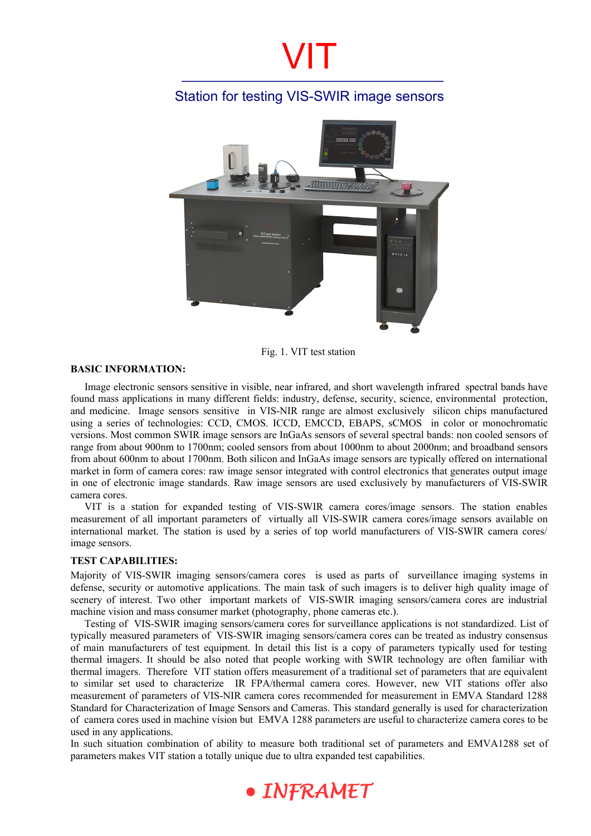### Station for testing VIS-SWIR image sensors



Fig. 1. VIT test station

#### **BASIC INFORMATION:**

Image electronic sensors sensitive in visible, near infrared, and short wavelength infrared spectral bands have found mass applications in many different fields: industry, defense, security, science, environmental protection, and medicine. Image sensors sensitive in VIS-NIR range are almost exclusively silicon chips manufactured using a series of technologies: CCD, CMOS. ICCD, EMCCD, EBAPS, sCMOS in color or monochromatic versions. Most common SWIR image sensors are InGaAs sensors of several spectral bands: non cooled sensors of range from about 900nm to 1700nm; cooled sensors from about 1000nm to about 2000nm; and broadband sensors from about 600nm to about 1700nm. Both silicon and InGaAs image sensors are typically offered on international market in form of camera cores: raw image sensor integrated with control electronics that generates output image in one of electronic image standards. Raw image sensors are used exclusively by manufacturers of VIS-SWIR camera cores.

VIT is a station for expanded testing of VIS-SWIR camera cores/image sensors. The station enables measurement of all important parameters of virtually all VIS-SWIR camera cores/image sensors available on international market. The station is used by a series of top world manufacturers of VIS-SWIR camera cores/ image sensors.

#### **TEST CAPABILITIES:**

Majority of VIS-SWIR imaging sensors/camera cores is used as parts of surveillance imaging systems in defense, security or automotive applications. The main task of such imagers is to deliver high quality image of scenery of interest. Two other important markets of VIS-SWIR imaging sensors/camera cores are industrial machine vision and mass consumer market (photography, phone cameras etc.).

Testing of VIS-SWIR imaging sensors/camera cores for surveillance applications is not standardized. List of typically measured parameters of VIS-SWIR imaging sensors/camera cores can be treated as industry consensus of main manufacturers of test equipment. In detail this list is a copy of parameters typically used for testing thermal imagers. It should be also noted that people working with SWIR technology are often familiar with thermal imagers. Therefore VIT station offers measurement of a traditional set of parameters that are equivalent to similar set used to characterize IR FPA/thermal camera cores. However, new VIT stations offer also measurement of parameters of VIS-NIR camera cores recommended for measurement in EMVA Standard 1288 Standard for Characterization of Image Sensors and Cameras. This standard generally is used for characterization of camera cores used in machine vision but EMVA 1288 parameters are useful to characterize camera cores to be used in any applications.

In such situation combination of ability to measure both traditional set of parameters and EMVA1288 set of parameters makes VIT station a totally unique due to ultra expanded test capabilities.

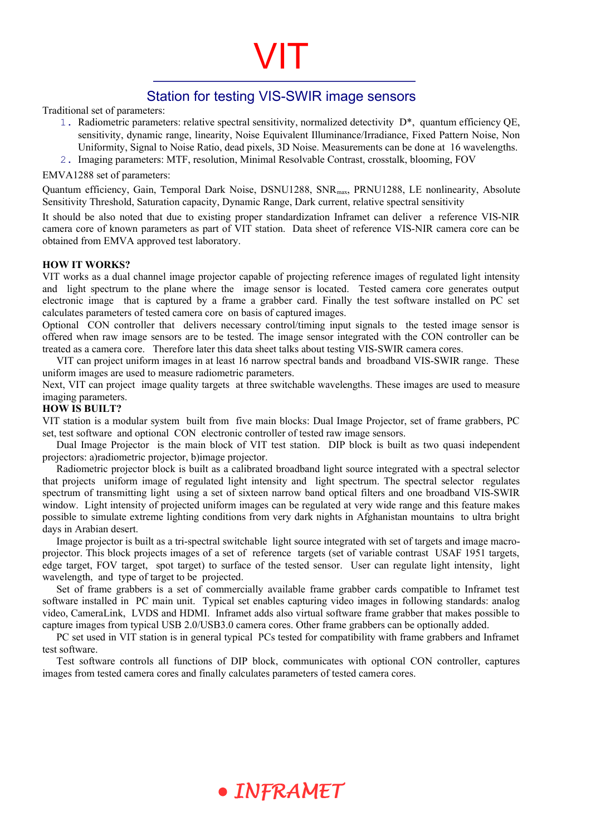### Station for testing VIS-SWIR image sensors

VIT

Traditional set of parameters:

- 1. Radiometric parameters: relative spectral sensitivity, normalized detectivity D\*, quantum efficiency QE, sensitivity, dynamic range, linearity, Noise Equivalent Illuminance/Irradiance, Fixed Pattern Noise, Non Uniformity, Signal to Noise Ratio, dead pixels, 3D Noise. Measurements can be done at 16 wavelengths.
- 2. Imaging parameters: MTF, resolution, Minimal Resolvable Contrast, crosstalk, blooming, FOV

#### EMVA1288 set of parameters:

Quantum efficiency, Gain, Temporal Dark Noise, DSNU1288, SNR<sub>max</sub>, PRNU1288, LE nonlinearity, Absolute Sensitivity Threshold, Saturation capacity, Dynamic Range, Dark current, relative spectral sensitivity

It should be also noted that due to existing proper standardization Inframet can deliver a reference VIS-NIR camera core of known parameters as part of VIT station. Data sheet of reference VIS-NIR camera core can be obtained from EMVA approved test laboratory.

#### **HOW IT WORKS?**

VIT works as a dual channel image projector capable of projecting reference images of regulated light intensity and light spectrum to the plane where the image sensor is located. Tested camera core generates output electronic image that is captured by a frame a grabber card. Finally the test software installed on PC set calculates parameters of tested camera core on basis of captured images.

Optional CON controller that delivers necessary control/timing input signals to the tested image sensor is offered when raw image sensors are to be tested. The image sensor integrated with the CON controller can be treated as a camera core. Therefore later this data sheet talks about testing VIS-SWIR camera cores.

VIT can project uniform images in at least 16 narrow spectral bands and broadband VIS-SWIR range. These uniform images are used to measure radiometric parameters.

Next, VIT can project image quality targets at three switchable wavelengths. These images are used to measure imaging parameters.

#### **HOW IS BUILT?**

VIT station is a modular system built from five main blocks: Dual Image Projector, set of frame grabbers, PC set, test software and optional CON electronic controller of tested raw image sensors.

Dual Image Projector is the main block of VIT test station. DIP block is built as two quasi independent projectors: a)radiometric projector, b)image projector.

Radiometric projector block is built as a calibrated broadband light source integrated with a spectral selector that projects uniform image of regulated light intensity and light spectrum. The spectral selector regulates spectrum of transmitting light using a set of sixteen narrow band optical filters and one broadband VIS-SWIR window. Light intensity of projected uniform images can be regulated at very wide range and this feature makes possible to simulate extreme lighting conditions from very dark nights in Afghanistan mountains to ultra bright days in Arabian desert.

Image projector is built as a tri-spectral switchable light source integrated with set of targets and image macroprojector. This block projects images of a set of reference targets (set of variable contrast USAF 1951 targets, edge target, FOV target, spot target) to surface of the tested sensor. User can regulate light intensity, light wavelength, and type of target to be projected.

Set of frame grabbers is a set of commercially available frame grabber cards compatible to Inframet test software installed in PC main unit. Typical set enables capturing video images in following standards: analog video, CameraLink, LVDS and HDMI. Inframet adds also virtual software frame grabber that makes possible to capture images from typical USB 2.0/USB3.0 camera cores. Other frame grabbers can be optionally added.

PC set used in VIT station is in general typical PCs tested for compatibility with frame grabbers and Inframet test software.

Test software controls all functions of DIP block, communicates with optional CON controller, captures images from tested camera cores and finally calculates parameters of tested camera cores.

## · INFRAMET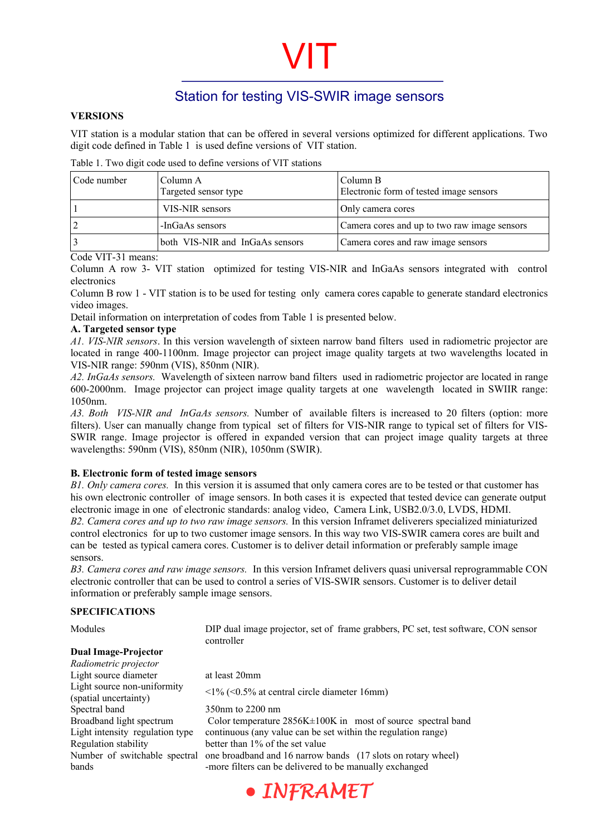### Station for testing VIS-SWIR image sensors

#### **VERSIONS**

VIT station is a modular station that can be offered in several versions optimized for different applications. Two digit code defined in Table 1 is used define versions of VIT station.

Table 1. Two digit code used to define versions of VIT stations

| Code number | Column A<br>Targeted sensor type | Column B<br>Electronic form of tested image sensors |
|-------------|----------------------------------|-----------------------------------------------------|
|             | VIS-NIR sensors                  | Only camera cores                                   |
|             | -InGaAs sensors                  | Camera cores and up to two raw image sensors        |
|             | both VIS-NIR and InGaAs sensors  | Camera cores and raw image sensors                  |

Code VIT-31 means:

Column A row 3- VIT station optimized for testing VIS-NIR and InGaAs sensors integrated with control electronics

Column B row 1 - VIT station is to be used for testing only camera cores capable to generate standard electronics video images.

Detail information on interpretation of codes from Table 1 is presented below.

#### **A. Targeted sensor type**

*A1. VIS-NIR sensors*. In this version wavelength of sixteen narrow band filters used in radiometric projector are located in range 400-1100nm. Image projector can project image quality targets at two wavelengths located in VIS-NIR range: 590nm (VIS), 850nm (NIR).

*A2. InGaAs sensors.* Wavelength of sixteen narrow band filters used in radiometric projector are located in range 600-2000nm. Image projector can project image quality targets at one wavelength located in SWIIR range: 1050nm.

*A3. Both VIS-NIR and InGaAs sensors.* Number of available filters is increased to 20 filters (option: more filters). User can manually change from typical set of filters for VIS-NIR range to typical set of filters for VIS-SWIR range. Image projector is offered in expanded version that can project image quality targets at three wavelengths: 590nm (VIS), 850nm (NIR), 1050nm (SWIR).

#### **B. Electronic form of tested image sensors**

*B1. Only camera cores.* In this version it is assumed that only camera cores are to be tested or that customer has his own electronic controller of image sensors. In both cases it is expected that tested device can generate output electronic image in one of electronic standards: analog video, Camera Link, USB2.0/3.0, LVDS, HDMI. *B2. Camera cores and up to two raw image sensors.* In this version Inframet deliverers specialized miniaturized control electronics for up to two customer image sensors. In this way two VIS-SWIR camera cores are built and can be tested as typical camera cores. Customer is to deliver detail information or preferably sample image sensors.

*B3. Camera cores and raw image sensors.* In this version Inframet delivers quasi universal reprogrammable CON electronic controller that can be used to control a series of VIS-SWIR sensors. Customer is to deliver detail information or preferably sample image sensors.

#### **SPECIFICATIONS**

Modules DIP dual image projector, set of frame grabbers, PC set, test software, CON sensor controller

#### **Dual Image-Projector**

*Radiometric projector*  Light source diameter at least 20mm Light source non-uniformity Eight source non-uniformity  $\langle 1\% (\langle 0.5\% \text{ at central circle diameter } 16 \text{mm}) \rangle$ Spectral band 350nm to 2200 nm Regulation stability better than 1% of the set value Number of switchable spectral bands

Broadband light spectrum Color temperature 2856K±100K in most of source spectral band Light intensity regulation type continuous (any value can be set within the regulation range) one broadband and 16 narrow bands (17 slots on rotary wheel) -more filters can be delivered to be manually exchanged

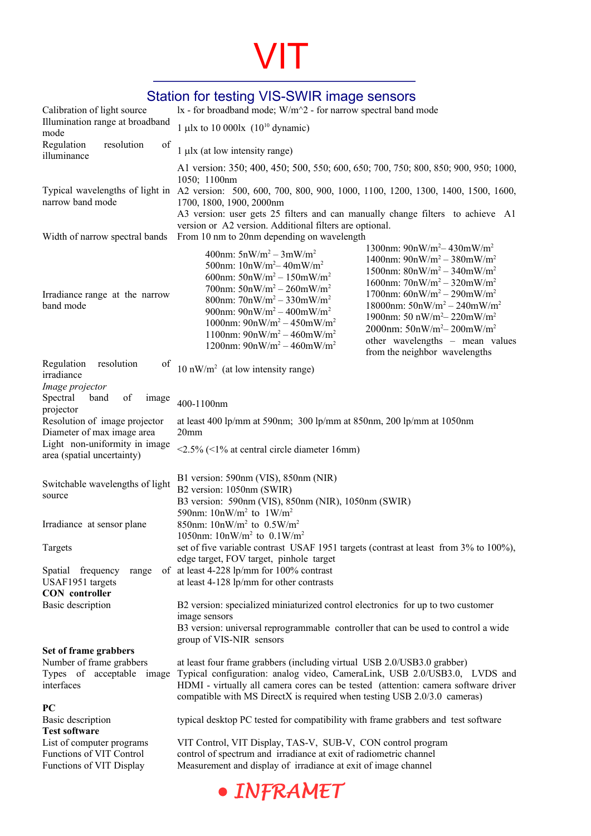## Station for testing VIS-SWIR image sensors

| Calibration of light source                                                                        | lx - for broadband mode; W/m^2 - for narrow spectral band mode                                                                                                                                                                                                                                                                                                                                |                                                                                                                                                                                                                                                                                                                                                                        |  |
|----------------------------------------------------------------------------------------------------|-----------------------------------------------------------------------------------------------------------------------------------------------------------------------------------------------------------------------------------------------------------------------------------------------------------------------------------------------------------------------------------------------|------------------------------------------------------------------------------------------------------------------------------------------------------------------------------------------------------------------------------------------------------------------------------------------------------------------------------------------------------------------------|--|
| Illumination range at broadband<br>mode                                                            | 1 µlx to 10 000lx $(10^{10}$ dynamic)                                                                                                                                                                                                                                                                                                                                                         |                                                                                                                                                                                                                                                                                                                                                                        |  |
| Regulation<br>resolution<br>of<br>illuminance                                                      | $1 \mu$ lx (at low intensity range)                                                                                                                                                                                                                                                                                                                                                           |                                                                                                                                                                                                                                                                                                                                                                        |  |
| narrow band mode                                                                                   | A1 version: 350; 400, 450; 500, 550; 600, 650; 700, 750; 800, 850; 900, 950; 1000,<br>1050; 1100nm<br>Typical wavelengths of light in A2 version: 500, 600, 700, 800, 900, 1000, 1100, 1200, 1300, 1400, 1500, 1600,<br>1700, 1800, 1900, 2000nm<br>A3 version: user gets 25 filters and can manually change filters to achieve A1<br>version or A2 version. Additional filters are optional. |                                                                                                                                                                                                                                                                                                                                                                        |  |
| Width of narrow spectral bands                                                                     | From 10 nm to 20nm depending on wavelength                                                                                                                                                                                                                                                                                                                                                    |                                                                                                                                                                                                                                                                                                                                                                        |  |
| Irradiance range at the narrow<br>band mode                                                        | 400nm: $5nW/m^2 - 3mW/m^2$<br>500nm: $10nW/m^2 - 40mW/m^2$<br>600nm: $50nW/m^2 - 150mW/m^2$<br>700nm: $50nW/m^2 - 260mW/m^2$<br>800nm: $70nW/m^2 - 330mW/m^2$<br>900nm: $90nW/m^2 - 400mW/m^2$<br>1000nm: $90nW/m^2 - 450mW/m^2$<br>1100nm: $90nW/m^2 - 460mW/m^2$<br>1200nm: $90nW/m^2 - 460mW/m^2$                                                                                          | 1300nm: $90nW/m^2 - 430mW/m^2$<br>1400nm: $90nW/m^2 - 380mW/m^2$<br>1500nm: $80nW/m^2 - 340mW/m^2$<br>1600nm: $70nW/m^2 - 320mW/m^2$<br>1700nm: $60nW/m^2 - 290mW/m^2$<br>18000nm: $50nW/m^2 - 240mW/m^2$<br>1900nm: 50 nW/m <sup>2</sup> – 220mW/m <sup>2</sup><br>2000nm: $50nW/m^2 - 200mW/m^2$<br>other wavelengths - mean values<br>from the neighbor wavelengths |  |
| Regulation<br>resolution<br>of<br>irradiance                                                       | 10 nW/m <sup>2</sup> (at low intensity range)                                                                                                                                                                                                                                                                                                                                                 |                                                                                                                                                                                                                                                                                                                                                                        |  |
| Image projector<br>Spectral<br>of<br>band<br>image<br>projector                                    | 400-1100nm                                                                                                                                                                                                                                                                                                                                                                                    |                                                                                                                                                                                                                                                                                                                                                                        |  |
| Resolution of image projector<br>Diameter of max image area                                        | at least 400 lp/mm at 590nm; 300 lp/mm at 850nm, 200 lp/mm at 1050nm<br>20 <sub>mm</sub>                                                                                                                                                                                                                                                                                                      |                                                                                                                                                                                                                                                                                                                                                                        |  |
| Light non-uniformity in image<br>area (spatial uncertainty)                                        | $\langle 2.5\% \rangle$ ( $\langle 1\%$ at central circle diameter 16mm)                                                                                                                                                                                                                                                                                                                      |                                                                                                                                                                                                                                                                                                                                                                        |  |
| Switchable wavelengths of light<br>source                                                          | B1 version: 590nm (VIS), 850nm (NIR)<br>B2 version: 1050nm (SWIR)<br>B3 version: 590nm (VIS), 850nm (NIR), 1050nm (SWIR)<br>590nm: $10nW/m^2$ to $1W/m^2$                                                                                                                                                                                                                                     |                                                                                                                                                                                                                                                                                                                                                                        |  |
| Irradiance at sensor plane                                                                         | 850nm: $10nW/m^2$ to $0.5W/m^2$<br>1050nm: $10nW/m^2$ to $0.1W/m^2$                                                                                                                                                                                                                                                                                                                           |                                                                                                                                                                                                                                                                                                                                                                        |  |
| Targets                                                                                            | set of five variable contrast USAF 1951 targets (contrast at least from 3% to 100%),<br>edge target, FOV target, pinhole target                                                                                                                                                                                                                                                               |                                                                                                                                                                                                                                                                                                                                                                        |  |
| Spatial frequency<br>range<br>USAF1951 targets<br><b>CON</b> controller                            | of at least 4-228 lp/mm for 100% contrast<br>at least 4-128 lp/mm for other contrasts                                                                                                                                                                                                                                                                                                         |                                                                                                                                                                                                                                                                                                                                                                        |  |
| Basic description                                                                                  | B2 version: specialized miniaturized control electronics for up to two customer<br>image sensors<br>B3 version: universal reprogrammable controller that can be used to control a wide<br>group of VIS-NIR sensors                                                                                                                                                                            |                                                                                                                                                                                                                                                                                                                                                                        |  |
| Set of frame grabbers<br>Number of frame grabbers<br>Types of acceptable image<br>interfaces<br>PC | at least four frame grabbers (including virtual USB 2.0/USB3.0 grabber)<br>Typical configuration: analog video, CameraLink, USB 2.0/USB3.0, LVDS and<br>HDMI - virtually all camera cores can be tested (attention: camera software driver<br>compatible with MS DirectX is required when testing USB 2.0/3.0 cameras)                                                                        |                                                                                                                                                                                                                                                                                                                                                                        |  |
| Basic description<br><b>Test software</b>                                                          | typical desktop PC tested for compatibility with frame grabbers and test software                                                                                                                                                                                                                                                                                                             |                                                                                                                                                                                                                                                                                                                                                                        |  |
| List of computer programs<br>Functions of VIT Control<br>Functions of VIT Display                  | VIT Control, VIT Display, TAS-V, SUB-V, CON control program<br>control of spectrum and irradiance at exit of radiometric channel<br>Measurement and display of irradiance at exit of image channel                                                                                                                                                                                            |                                                                                                                                                                                                                                                                                                                                                                        |  |